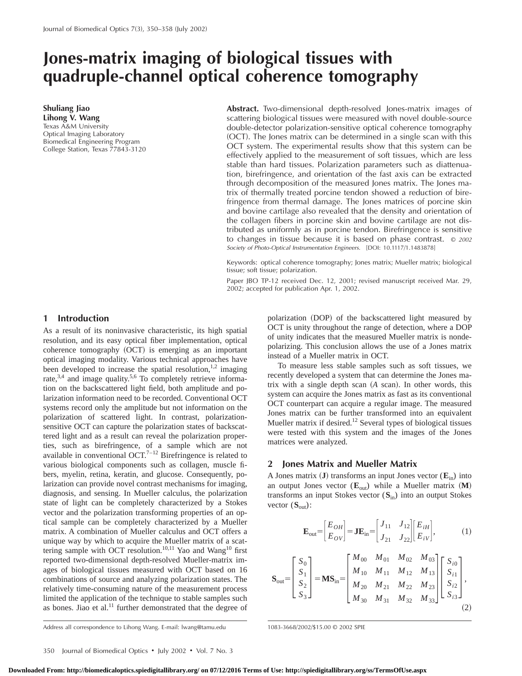# **Jones-matrix imaging of biological tissues with quadruple-channel optical coherence tomography**

**Shuliang Jiao Lihong V. Wang** Texas A&M University Optical Imaging Laboratory Biomedical Engineering Program College Station, Texas 77843-3120 **Abstract.** Two-dimensional depth-resolved Jones-matrix images of scattering biological tissues were measured with novel double-source double-detector polarization-sensitive optical coherence tomography (OCT). The Jones matrix can be determined in a single scan with this OCT system. The experimental results show that this system can be effectively applied to the measurement of soft tissues, which are less stable than hard tissues. Polarization parameters such as diattenuation, birefringence, and orientation of the fast axis can be extracted through decomposition of the measured Jones matrix. The Jones matrix of thermally treated porcine tendon showed a reduction of birefringence from thermal damage. The Jones matrices of porcine skin and bovine cartilage also revealed that the density and orientation of the collagen fibers in porcine skin and bovine cartilage are not distributed as uniformly as in porcine tendon. Birefringence is sensitive to changes in tissue because it is based on phase contrast. © <sup>2002</sup> Society of Photo-Optical Instrumentation Engineers. [DOI: 10.1117/1.1483878]

Keywords: optical coherence tomography; Jones matrix; Mueller matrix; biological tissue; soft tissue; polarization.

Paper JBO TP-12 received Dec. 12, 2001; revised manuscript received Mar. 29, 2002; accepted for publication Apr. 1, 2002.

## **1 Introduction**

As a result of its noninvasive characteristic, its high spatial resolution, and its easy optical fiber implementation, optical coherence tomography (OCT) is emerging as an important optical imaging modality. Various technical approaches have been developed to increase the spatial resolution, $1,2$  imaging rate, $3,4$  and image quality.<sup>5,6</sup> To completely retrieve information on the backscattered light field, both amplitude and polarization information need to be recorded. Conventional OCT systems record only the amplitude but not information on the polarization of scattered light. In contrast, polarizationsensitive OCT can capture the polarization states of backscattered light and as a result can reveal the polarization properties, such as birefringence, of a sample which are not available in conventional OCT.<sup>7-12</sup> Birefringence is related to various biological components such as collagen, muscle fibers, myelin, retina, keratin, and glucose. Consequently, polarization can provide novel contrast mechanisms for imaging, diagnosis, and sensing. In Mueller calculus, the polarization state of light can be completely characterized by a Stokes vector and the polarization transforming properties of an optical sample can be completely characterized by a Mueller matrix. A combination of Mueller calculus and OCT offers a unique way by which to acquire the Mueller matrix of a scattering sample with OCT resolution.<sup>10,11</sup> Yao and Wang<sup>10</sup> first reported two-dimensional depth-resolved Mueller-matrix images of biological tissues measured with OCT based on 16 combinations of source and analyzing polarization states. The relatively time-consuming nature of the measurement process limited the application of the technique to stable samples such as bones. Jiao et al.<sup>11</sup> further demonstrated that the degree of polarization (DOP) of the backscattered light measured by OCT is unity throughout the range of detection, where a DOP of unity indicates that the measured Mueller matrix is nondepolarizing. This conclusion allows the use of a Jones matrix instead of a Mueller matrix in OCT.

To measure less stable samples such as soft tissues, we recently developed a system that can determine the Jones matrix with a single depth scan (A scan). In other words, this system can acquire the Jones matrix as fast as its conventional OCT counterpart can acquire a regular image. The measured Jones matrix can be further transformed into an equivalent Mueller matrix if desired.<sup>12</sup> Several types of biological tissues were tested with this system and the images of the Jones matrices were analyzed.

## **2 Jones Matrix and Mueller Matrix**

A Jones matrix  $({\bf J})$  transforms an input Jones vector  $({\bf E}_{in})$  into an output Jones vector  $(\mathbf{E}_{out})$  while a Mueller matrix  $(\mathbf{M})$ transforms an input Stokes vector (**S**in) into an output Stokes vector  $(S_{out})$ :

$$
\mathbf{E}_{\text{out}} = \begin{bmatrix} E_{OH} \\ E_{OV} \end{bmatrix} = \mathbf{J} \mathbf{E}_{\text{in}} = \begin{bmatrix} J_{11} & J_{12} \\ J_{21} & J_{22} \end{bmatrix} \begin{bmatrix} E_{iH} \\ E_{iV} \end{bmatrix},
$$
 (1)

$$
\mathbf{S}_{\text{out}} = \begin{bmatrix} S_0 \\ S_1 \\ S_2 \\ S_3 \end{bmatrix} = \mathbf{M} \mathbf{S}_{\text{in}} = \begin{bmatrix} M_{00} & M_{01} & M_{02} & M_{03} \\ M_{10} & M_{11} & M_{12} & M_{13} \\ M_{20} & M_{21} & M_{22} & M_{23} \\ M_{30} & M_{31} & M_{32} & M_{33} \end{bmatrix} \begin{bmatrix} S_{i0} \\ S_{i1} \\ S_{i2} \\ S_{i3} \end{bmatrix},\tag{2}
$$

Address all correspondence to Lihong Wang. E-mail: lwang@tamu.edu 1083-3668/2002/\$15.00 © 2002 SPIE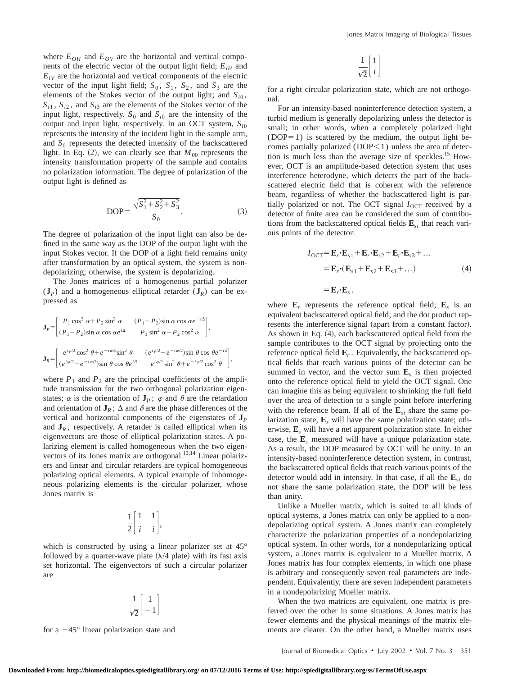where  $E_{OH}$  and  $E_{OV}$  are the horizontal and vertical components of the electric vector of the output light field;  $E_{iH}$  and  $E_{iV}$  are the horizontal and vertical components of the electric vector of the input light field;  $S_0$ ,  $S_1$ ,  $S_2$ , and  $S_3$  are the elements of the Stokes vector of the output light; and  $S_{i0}$ ,  $S_{i1}$ ,  $S_{i2}$ , and  $S_{i3}$  are the elements of the Stokes vector of the input light, respectively.  $S_0$  and  $S_{i0}$  are the intensity of the output and input light, respectively. In an OCT system, *Si*<sup>0</sup> represents the intensity of the incident light in the sample arm, and  $S_0$  represents the detected intensity of the backscattered light. In Eq.  $(2)$ , we can clearly see that  $M_{00}$  represents the intensity transformation property of the sample and contains no polarization information. The degree of polarization of the output light is defined as

DOP=
$$
\frac{\sqrt{S_1^2 + S_2^2 + S_3^2}}{S_0}.
$$
 (3)

The degree of polarization of the input light can also be defined in the same way as the DOP of the output light with the input Stokes vector. If the DOP of a light field remains unity after transformation by an optical system, the system is nondepolarizing; otherwise, the system is depolarizing.

The Jones matrices of a homogeneous partial polarizer  $({\bf J}_P)$  and a homogeneous elliptical retarder  $({\bf J}_R)$  can be expressed as

$$
\mathbf{J}_P = \begin{bmatrix} P_1 \cos^2 \alpha + P_2 \sin^2 \alpha & (P_1 - P_2) \sin \alpha \cos \alpha e^{-i\Delta} \\ (P_1 - P_2) \sin \alpha \cos \alpha e^{i\Delta} & P_1 \sin^2 \alpha + P_2 \cos^2 \alpha \end{bmatrix},
$$
\n
$$
\mathbf{J}_R = \begin{bmatrix} e^{i\varphi/2} \cos^2 \theta + e^{-i\varphi/2} \sin^2 \theta & (e^{i\varphi/2} - e^{-i\varphi/2}) \sin \theta \cos \theta e^{-i\delta} \\ (e^{i\varphi/2} - e^{-i\varphi/2}) \sin \theta \cos \theta e^{i\delta} & e^{i\varphi/2} \sin^2 \theta + e^{-i\varphi/2} \cos^2 \theta \end{bmatrix},
$$

where  $P_1$  and  $P_2$  are the principal coefficients of the amplitude transmission for the two orthogonal polarization eigenstates;  $\alpha$  is the orientation of  $J_p$ ;  $\varphi$  and  $\theta$  are the retardation and orientation of  $J_R$ ;  $\Delta$  and  $\delta$  are the phase differences of the vertical and horizontal components of the eigenstates of **J***<sup>P</sup>* and  $J_R$ , respectively. A retarder is called elliptical when its eigenvectors are those of elliptical polarization states. A polarizing element is called homogeneous when the two eigenvectors of its Jones matrix are orthogonal.<sup>13,14</sup> Linear polarizers and linear and circular retarders are typical homogeneous polarizing optical elements. A typical example of inhomogeneous polarizing elements is the circular polarizer, whose Jones matrix is

$$
\frac{1}{2} \begin{bmatrix} 1 & 1 \\ i & i \end{bmatrix},
$$

which is constructed by using a linear polarizer set at 45° followed by a quarter-wave plate  $(\lambda/4$  plate) with its fast axis set horizontal. The eigenvectors of such a circular polarizer are

$$
\frac{1}{\sqrt{2}}\begin{bmatrix}1\\-1\end{bmatrix}
$$

for a  $-45^{\circ}$  linear polarization state and

$$
\frac{1}{\sqrt{2}}\begin{bmatrix}1\\i\end{bmatrix}
$$

for a right circular polarization state, which are not orthogonal.

For an intensity-based noninterference detection system, a turbid medium is generally depolarizing unless the detector is small; in other words, when a completely polarized light  $(DOP=1)$  is scattered by the medium, the output light becomes partially polarized ( $DOP<1$ ) unless the area of detection is much less than the average size of speckles.<sup>15</sup> However, OCT is an amplitude-based detection system that uses interference heterodyne, which detects the part of the backscattered electric field that is coherent with the reference beam, regardless of whether the backscattered light is partially polarized or not. The OCT signal  $I<sub>OCT</sub>$  received by a detector of finite area can be considered the sum of contributions from the backscattered optical fields  $\mathbf{E}_{si}$  that reach various points of the detector:

$$
I_{\text{OCT}} = \mathbf{E}_r \cdot \mathbf{E}_{s1} + \mathbf{E}_r \cdot \mathbf{E}_{s2} + \mathbf{E}_r \cdot \mathbf{E}_{s3} + \dots
$$
  
=  $\mathbf{E}_r \cdot (\mathbf{E}_{s1} + \mathbf{E}_{s2} + \mathbf{E}_{s3} + \dots)$  (4)

 $=$ **E**<sub>*r*</sub> $\cdot$ **<b>E**<sub>*s*</sub>.

where  $\mathbf{E}_r$  represents the reference optical field;  $\mathbf{E}_s$  is an equivalent backscattered optical field; and the dot product represents the interference signal (apart from a constant factor). As shown in Eq. (4), each backscattered optical field from the sample contributes to the OCT signal by projecting onto the reference optical field  $\mathbf{E}_r$ . Equivalently, the backscattered optical fields that reach various points of the detector can be summed in vector, and the vector sum **E***<sup>s</sup>* is then projected onto the reference optical field to yield the OCT signal. One can imagine this as being equivalent to shrinking the full field over the area of detection to a single point before interfering with the reference beam. If all of the  $\mathbf{E}_{si}$  share the same polarization state,  $\mathbf{E}_s$  will have the same polarization state; otherwise, **E***<sup>s</sup>* will have a net apparent polarization state. In either case, the **E***<sup>s</sup>* measured will have a unique polarization state. As a result, the DOP measured by OCT will be unity. In an intensity-based noninterference detection system, in contrast, the backscattered optical fields that reach various points of the detector would add in intensity. In that case, if all the  $\mathbf{E}_{si}$  do not share the same polarization state, the DOP will be less than unity.

Unlike a Mueller matrix, which is suited to all kinds of optical systems, a Jones matrix can only be applied to a nondepolarizing optical system. A Jones matrix can completely characterize the polarization properties of a nondepolarizing optical system. In other words, for a nondepolarizing optical system, a Jones matrix is equivalent to a Mueller matrix. A Jones matrix has four complex elements, in which one phase is arbitrary and consequently seven real parameters are independent. Equivalently, there are seven independent parameters in a nondepolarizing Mueller matrix.

When the two matrices are equivalent, one matrix is preferred over the other in some situations. A Jones matrix has fewer elements and the physical meanings of the matrix elements are clearer. On the other hand, a Mueller matrix uses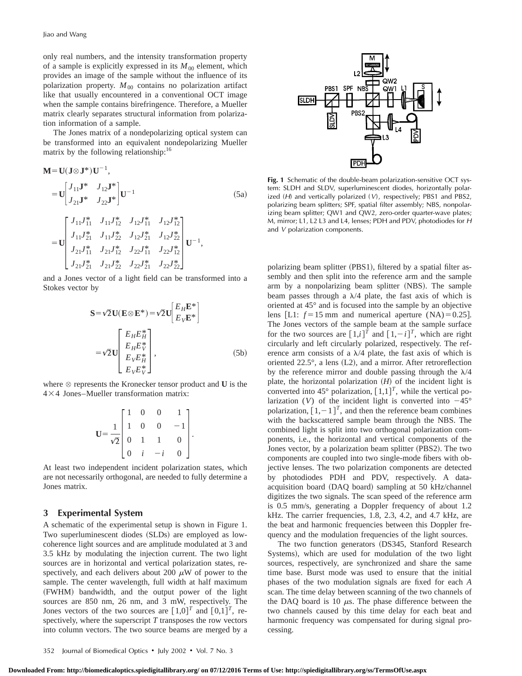only real numbers, and the intensity transformation property of a sample is explicitly expressed in its  $M_{00}$  element, which provides an image of the sample without the influence of its polarization property.  $M_{00}$  contains no polarization artifact like that usually encountered in a conventional OCT image when the sample contains birefringence. Therefore, a Mueller matrix clearly separates structural information from polarization information of a sample.

The Jones matrix of a nondepolarizing optical system can be transformed into an equivalent nondepolarizing Mueller matrix by the following relationship:<sup>16</sup>

$$
\mathbf{M} = \mathbf{U}(\mathbf{J} \otimes \mathbf{J}^*) \mathbf{U}^{-1},
$$
\n
$$
= \mathbf{U} \begin{bmatrix} J_{11} \mathbf{J}^* & J_{12} \mathbf{J}^* \\ J_{21} \mathbf{J}^* & J_{22} \mathbf{J}^* \end{bmatrix} \mathbf{U}^{-1} \tag{5a}
$$
\n
$$
= \mathbf{U} \begin{bmatrix} J_{11} J_{11}^* & J_{11} J_{12}^* & J_{12} J_{11}^* & J_{12} J_{12}^* \\ J_{11} J_{21}^* & J_{11} J_{22}^* & J_{12} J_{21}^* & J_{12} J_{22}^* \\ J_{21} J_{11}^* & J_{21} J_{12}^* & J_{22} J_{11}^* & J_{22} J_{12}^* \\ J_{21} J_{21}^* & J_{21} J_{22}^* & J_{22} J_{21}^* & J_{22} J_{22}^* \end{bmatrix} \mathbf{U}^{-1},
$$

and a Jones vector of a light field can be transformed into a Stokes vector by

$$
\mathbf{S} = \sqrt{2} \mathbf{U} (\mathbf{E} \otimes \mathbf{E}^*) = \sqrt{2} \mathbf{U} \begin{bmatrix} E_H \mathbf{E}^* \\ E_V \mathbf{E}^* \end{bmatrix}
$$

$$
= \sqrt{2} \mathbf{U} \begin{bmatrix} E_H E_H^* \\ E_H E_V^* \\ E_V E_H^* \\ E_V E_V^* \end{bmatrix}, \tag{5b}
$$

where  $\otimes$  represents the Kronecker tensor product and **U** is the  $4\times4$  Jones–Mueller transformation matrix:

$$
\mathbf{U} = \frac{1}{\sqrt{2}} \begin{bmatrix} 1 & 0 & 0 & 1 \\ 1 & 0 & 0 & -1 \\ 0 & 1 & 1 & 0 \\ 0 & i & -i & 0 \end{bmatrix}.
$$

At least two independent incident polarization states, which are not necessarily orthogonal, are needed to fully determine a Jones matrix.

## **3 Experimental System**

A schematic of the experimental setup is shown in Figure 1. Two superluminescent diodes (SLDs) are employed as lowcoherence light sources and are amplitude modulated at 3 and 3.5 kHz by modulating the injection current. The two light sources are in horizontal and vertical polarization states, respectively, and each delivers about 200  $\mu$ W of power to the sample. The center wavelength, full width at half maximum (FWHM) bandwidth, and the output power of the light sources are 850 nm, 26 nm, and 3 mW, respectively. The Jones vectors of the two sources are  $[1,0]^T$  and  $[0,1]^T$ , respectively, where the superscript *T* transposes the row vectors into column vectors. The two source beams are merged by a



**Fig. 1** Schematic of the double-beam polarization-sensitive OCT system: SLDH and SLDV, superluminescent diodes, horizontally polarized (H) and vertically polarized (V), respectively; PBS1 and PBS2, polarizing beam splitters; SPF, spatial filter assembly; NBS, nonpolarizing beam splitter; QW1 and QW2, zero-order quarter-wave plates; M, mirror; L1, L2 L3 and L4, lenses; PDH and PDV, photodiodes for <sup>H</sup> and <sup>V</sup> polarization components.

polarizing beam splitter (PBS1), filtered by a spatial filter assembly and then split into the reference arm and the sample arm by a nonpolarizing beam splitter (NBS). The sample beam passes through a  $\lambda/4$  plate, the fast axis of which is oriented at 45° and is focused into the sample by an objective lens [L1:  $f = 15$  mm and numerical aperture (NA)=0.25]. The Jones vectors of the sample beam at the sample surface for the two sources are  $\left[1,i\right]^{\overline{T}}$  and  $\left[1,-i\right]^{\overline{T}}$ , which are right circularly and left circularly polarized, respectively. The reference arm consists of a  $\lambda/4$  plate, the fast axis of which is oriented  $22.5^{\circ}$ , a lens (L2), and a mirror. After retroreflection by the reference mirror and double passing through the  $\lambda/4$ plate, the horizontal polarization  $(H)$  of the incident light is converted into 45 $^{\circ}$  polarization,  $[1,1]^T$ , while the vertical polarization (V) of the incident light is converted into  $-45^{\circ}$ polarization,  $[1, -1]^T$ , and then the reference beam combines with the backscattered sample beam through the NBS. The combined light is split into two orthogonal polarization components, i.e., the horizontal and vertical components of the Jones vector, by a polarization beam splitter (PBS2). The two components are coupled into two single-mode fibers with objective lenses. The two polarization components are detected by photodiodes PDH and PDV, respectively. A dataacquisition board (DAQ board) sampling at 50 kHz/channel digitizes the two signals. The scan speed of the reference arm is 0.5 mm/s, generating a Doppler frequency of about 1.2 kHz. The carrier frequencies, 1.8, 2.3, 4.2, and 4.7 kHz, are the beat and harmonic frequencies between this Doppler frequency and the modulation frequencies of the light sources.

The two function generators (DS345, Stanford Research Systems), which are used for modulation of the two light sources, respectively, are synchronized and share the same time base. Burst mode was used to ensure that the initial phases of the two modulation signals are fixed for each *A* scan. The time delay between scanning of the two channels of the DAQ board is 10  $\mu$ s. The phase difference between the two channels caused by this time delay for each beat and harmonic frequency was compensated for during signal processing.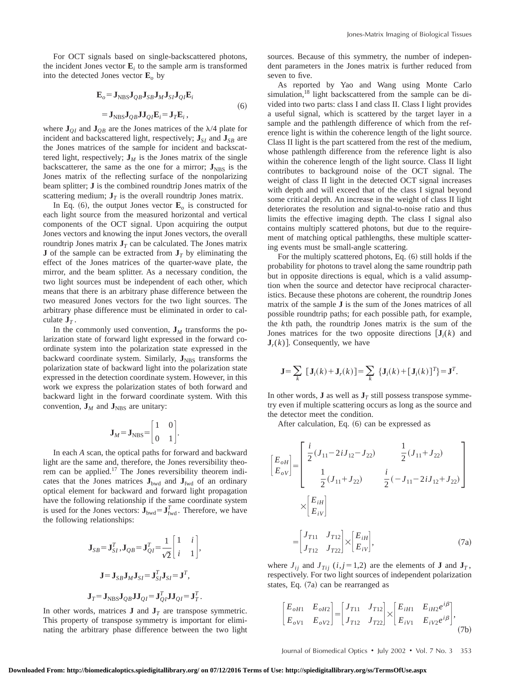For OCT signals based on single-backscattered photons, the incident Jones vector  $\mathbf{E}_i$  to the sample arm is transformed into the detected Jones vector  $\mathbf{E}_o$  by

$$
\mathbf{E}_{o} = \mathbf{J}_{\text{NBS}} \mathbf{J}_{QB} \mathbf{J}_{SB} \mathbf{J}_{M} \mathbf{J}_{SI} \mathbf{J}_{QI} \mathbf{E}_{i}
$$
  
=  $\mathbf{J}_{\text{NBS}} \mathbf{J}_{QB} \mathbf{J}_{QI} \mathbf{E}_{i} = \mathbf{J}_{T} \mathbf{E}_{i}$ , (6)

where  $J_{0I}$  and  $J_{OB}$  are the Jones matrices of the  $\lambda/4$  plate for incident and backscattered light, respectively;  $J_{SI}$  and  $J_{SB}$  are the Jones matrices of the sample for incident and backscattered light, respectively;  $J_M$  is the Jones matrix of the single backscatterer, the same as the one for a mirror;  $J_{NBS}$  is the Jones matrix of the reflecting surface of the nonpolarizing beam splitter; **J** is the combined roundtrip Jones matrix of the scattering medium;  $J_T$  is the overall roundtrip Jones matrix.

In Eq. (6), the output Jones vector  $\mathbf{E}_o$  is constructed for each light source from the measured horizontal and vertical components of the OCT signal. Upon acquiring the output Jones vectors and knowing the input Jones vectors, the overall roundtrip Jones matrix  $J_T$  can be calculated. The Jones matrix **J** of the sample can be extracted from  $J<sub>T</sub>$  by eliminating the effect of the Jones matrices of the quarter-wave plate, the mirror, and the beam splitter. As a necessary condition, the two light sources must be independent of each other, which means that there is an arbitrary phase difference between the two measured Jones vectors for the two light sources. The arbitrary phase difference must be eliminated in order to calculate  $J_T$ .

In the commonly used convention,  $J_M$  transforms the polarization state of forward light expressed in the forward coordinate system into the polarization state expressed in the backward coordinate system. Similarly,  $J_{NBS}$  transforms the polarization state of backward light into the polarization state expressed in the detection coordinate system. However, in this work we express the polarization states of both forward and backward light in the forward coordinate system. With this convention,  $J_M$  and  $J_{NBS}$  are unitary:

$$
\mathbf{J}_M = \mathbf{J}_{\text{NBS}} = \begin{bmatrix} 1 & 0 \\ 0 & 1 \end{bmatrix}.
$$

In each *A* scan, the optical paths for forward and backward light are the same and, therefore, the Jones reversibility theorem can be applied.<sup>17</sup> The Jones reversibility theorem indicates that the Jones matrices  $J_{bwd}$  and  $J_{fwd}$  of an ordinary optical element for backward and forward light propagation have the following relationship if the same coordinate system is used for the Jones vectors:  $\mathbf{J}_{bwd} = \mathbf{J}_{fwd}^T$ . Therefore, we have the following relationships:

$$
\mathbf{J}_{SB} = \mathbf{J}_{SI}^T, \mathbf{J}_{QB} = \mathbf{J}_{QI}^T = \frac{1}{\sqrt{2}} \begin{bmatrix} 1 & i \\ i & 1 \end{bmatrix},
$$

$$
\mathbf{J} = \mathbf{J}_{SB} \mathbf{J}_M \mathbf{J}_{SI} = \mathbf{J}_{SI}^T \mathbf{J}_{SI} = \mathbf{J}^T,
$$

$$
\mathbf{J}_T = \mathbf{J}_{NBS} \mathbf{J}_{QB} \mathbf{J}_{QI} = \mathbf{J}_{QI}^T \mathbf{J}_{QI} = \mathbf{J}_T^T.
$$

In other words, matrices **J** and  $J<sub>T</sub>$  are transpose symmetric. This property of transpose symmetry is important for eliminating the arbitrary phase difference between the two light sources. Because of this symmetry, the number of independent parameters in the Jones matrix is further reduced from seven to five.

As reported by Yao and Wang using Monte Carlo simulation,<sup>18</sup> light backscattered from the sample can be divided into two parts: class I and class II. Class I light provides a useful signal, which is scattered by the target layer in a sample and the pathlength difference of which from the reference light is within the coherence length of the light source. Class II light is the part scattered from the rest of the medium, whose pathlength difference from the reference light is also within the coherence length of the light source. Class II light contributes to background noise of the OCT signal. The weight of class II light in the detected OCT signal increases with depth and will exceed that of the class I signal beyond some critical depth. An increase in the weight of class II light deteriorates the resolution and signal-to-noise ratio and thus limits the effective imaging depth. The class I signal also contains multiply scattered photons, but due to the requirement of matching optical pathlengths, these multiple scattering events must be small-angle scattering.

For the multiply scattered photons, Eq.  $(6)$  still holds if the probability for photons to travel along the same roundtrip path but in opposite directions is equal, which is a valid assumption when the source and detector have reciprocal characteristics. Because these photons are coherent, the roundtrip Jones matrix of the sample **J** is the sum of the Jones matrices of all possible roundtrip paths; for each possible path, for example, the *k*th path, the roundtrip Jones matrix is the sum of the Jones matrices for the two opposite directions  $[J_i(k)]$  and  $J_r(k)$ ]. Consequently, we have

$$
\mathbf{J} = \sum_{k} [\mathbf{J}_i(k) + \mathbf{J}_r(k)] = \sum_{k} {\mathbf{J}_i(k) + [\mathbf{J}_i(k)]^T} = \mathbf{J}^T.
$$

In other words, **J** as well as  $J<sub>T</sub>$  still possess transpose symmetry even if multiple scattering occurs as long as the source and the detector meet the condition.

After calculation, Eq.  $(6)$  can be expressed as

$$
\begin{aligned}\n\begin{bmatrix}\nE_{oH} \\
E_{oV}\n\end{bmatrix} &= \begin{bmatrix}\n\frac{i}{2}(J_{11} - 2iJ_{12} - J_{22}) & \frac{1}{2}(J_{11} + J_{22}) \\
\frac{1}{2}(J_{11} + J_{22}) & \frac{i}{2}(-J_{11} - 2iJ_{12} + J_{22})\n\end{bmatrix} \\
&\times \begin{bmatrix}\nE_{iH} \\
E_{iV}\n\end{bmatrix} \\
&= \begin{bmatrix}\nJ_{T11} & J_{T12} \\
J_{T12} & J_{T22}\n\end{bmatrix} \times \begin{bmatrix}\nE_{iH} \\
E_{iV}\n\end{bmatrix},\n\end{aligned} (7a)
$$

where  $J_{ij}$  and  $J_{Tij}$  (*i*, *j* = 1,2) are the elements of **J** and  $J_T$ , respectively. For two light sources of independent polarization states, Eq.  $(7a)$  can be rearranged as

$$
\begin{bmatrix} E_{oH1} & E_{oH2} \ E_{oV1} & E_{oV2} \end{bmatrix} = \begin{bmatrix} J_{T11} & J_{T12} \ J_{T12} & J_{T22} \end{bmatrix} \times \begin{bmatrix} E_{iH1} & E_{iH2}e^{i\beta} \ E_{iV1} & E_{iV2}e^{i\beta} \end{bmatrix},
$$
\n(7b)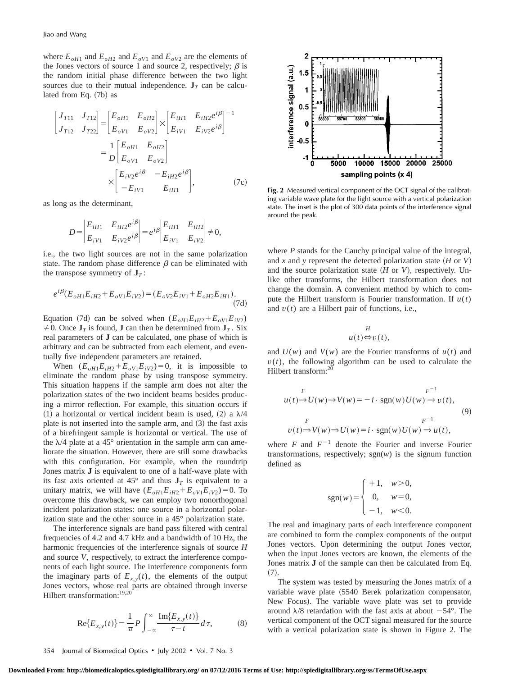where  $E_{oH1}$  and  $E_{oH2}$  and  $E_{oV1}$  and  $E_{oV2}$  are the elements of the Jones vectors of source 1 and source 2, respectively;  $\beta$  is the random initial phase difference between the two light sources due to their mutual independence.  $J<sub>T</sub>$  can be calculated from Eq.  $(7b)$  as

$$
\begin{bmatrix} J_{T11} & J_{T12} \ J_{T12} & J_{T22} \end{bmatrix} = \begin{bmatrix} E_{oH1} & E_{oH2} \ E_{oV1} & E_{oV2} \end{bmatrix} \times \begin{bmatrix} E_{iH1} & E_{iH2} e^{i\beta} \\ E_{iV1} & E_{iV2} e^{i\beta} \end{bmatrix}^{-1}
$$

$$
= \frac{1}{D} \begin{bmatrix} E_{oH1} & E_{oH2} \\ E_{oV1} & E_{oV2} \end{bmatrix}
$$

$$
\times \begin{bmatrix} E_{iV2} e^{i\beta} & -E_{iH2} e^{i\beta} \\ -E_{iV1} & E_{iH1} \end{bmatrix}, \qquad (7c)
$$

as long as the determinant,

$$
D = \begin{vmatrix} E_{iH1} & E_{iH2} e^{i\beta} \\ E_{iV1} & E_{iV2} e^{i\beta} \end{vmatrix} = e^{i\beta} \begin{vmatrix} E_{iH1} & E_{iH2} \\ E_{iV1} & E_{iV2} \end{vmatrix} \neq 0,
$$

i.e., the two light sources are not in the same polarization state. The random phase difference  $\beta$  can be eliminated with the transpose symmetry of  $J<sub>T</sub>$ :

$$
e^{i\beta}(E_{oH1}E_{iH2} + E_{oV1}E_{iV2}) = (E_{oV2}E_{iV1} + E_{oH2}E_{iH1}).
$$
\n(7d)

Equation (7d) can be solved when  $(E_{oH1}E_{iH2}+E_{oV1}E_{iV2})$  $\neq$  0. Once  $\mathbf{J}_T$  is found, **J** can then be determined from  $\mathbf{J}_T$ . Six real parameters of **J** can be calculated, one phase of which is arbitrary and can be subtracted from each element, and eventually five independent parameters are retained.

When  $(E_{oH1}E_{iH2}+E_{oV1}E_{iV2})=0$ , it is impossible to eliminate the random phase by using transpose symmetry. This situation happens if the sample arm does not alter the polarization states of the two incident beams besides producing a mirror reflection. For example, this situation occurs if (1) a horizontal or vertical incident beam is used, (2) a  $\lambda/4$ plate is not inserted into the sample arm, and  $(3)$  the fast axis of a birefringent sample is horizontal or vertical. The use of the  $\lambda$ /4 plate at a 45° orientation in the sample arm can ameliorate the situation. However, there are still some drawbacks with this configuration. For example, when the roundtrip Jones matrix **J** is equivalent to one of a half-wave plate with its fast axis oriented at 45 $^{\circ}$  and thus  $J_T$  is equivalent to a unitary matrix, we will have  $(E_{oH1}E_{iH2}+E_{oV1}E_{iV2})=0$ . To overcome this drawback, we can employ two nonorthogonal incident polarization states: one source in a horizontal polarization state and the other source in a 45° polarization state.

The interference signals are band pass filtered with central frequencies of 4.2 and 4.7 kHz and a bandwidth of 10 Hz, the harmonic frequencies of the interference signals of source *H* and source *V*, respectively, to extract the interference components of each light source. The interference components form the imaginary parts of  $E_{x,y}(t)$ , the elements of the output Jones vectors, whose real parts are obtained through inverse Hilbert transformation:<sup>19,20</sup>

$$
\text{Re}\{E_{x,y}(t)\} = \frac{1}{\pi} P \int_{-\infty}^{\infty} \frac{\text{Im}\{E_{x,y}(t)\}}{\tau - t} d\tau, \tag{8}
$$



**Fig. 2** Measured vertical component of the OCT signal of the calibrating variable wave plate for the light source with a vertical polarization state. The inset is the plot of 300 data points of the interference signal around the peak.

where *P* stands for the Cauchy principal value of the integral, and x and y represent the detected polarization state  $(H \text{ or } V)$ and the source polarization state  $(H \text{ or } V)$ , respectively. Unlike other transforms, the Hilbert transformation does not change the domain. A convenient method by which to compute the Hilbert transform is Fourier transformation. If  $u(t)$ and  $v(t)$  are a Hilbert pair of functions, i.e.,

$$
u(t) \Leftrightarrow v(t),
$$

and  $U(w)$  and  $V(w)$  are the Fourier transforms of  $u(t)$  and  $v(t)$ , the following algorithm can be used to calculate the Hilbert transform:<sup>20</sup>

$$
F^{-1}
$$
  
\n
$$
u(t) \stackrel{F}{\Rightarrow} U(w) \Rightarrow V(w) = -i \cdot \text{sgn}(w)U(w) \stackrel{F}{\Rightarrow} v(t),
$$
  
\n
$$
v(t) \Rightarrow V(w) \Rightarrow U(w) = i \cdot \text{sgn}(w)U(w) \Rightarrow u(t),
$$
\n(9)

where  $F$  and  $F^{-1}$  denote the Fourier and inverse Fourier transformations, respectively;  $sgn(w)$  is the signum function defined as

$$
sgn(w) = \begin{cases} +1, & w > 0, \\ 0, & w = 0, \\ -1, & w < 0. \end{cases}
$$

The real and imaginary parts of each interference component are combined to form the complex components of the output Jones vectors. Upon determining the output Jones vector, when the input Jones vectors are known, the elements of the Jones matrix **J** of the sample can then be calculated from Eq.  $(7).$ 

The system was tested by measuring the Jones matrix of a variable wave plate (5540 Berek polarization compensator, New Focus). The variable wave plate was set to provide around  $\lambda$ /8 retardation with the fast axis at about  $-54^{\circ}$ . The vertical component of the OCT signal measured for the source with a vertical polarization state is shown in Figure 2. The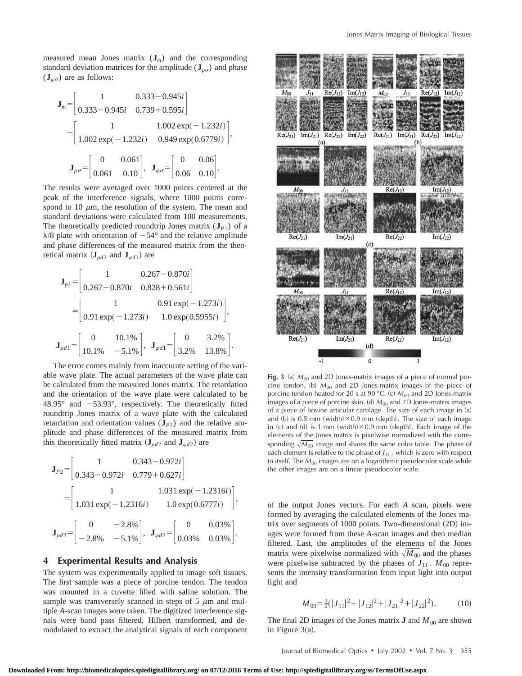measured mean Jones matrix  $(\mathbf{J}_m)$  and the corresponding standard deviation matrices for the amplitude  $(\mathbf{J}_{\rho\sigma})$  and phase  $(\mathbf{J}_{\varphi\sigma})$  are as follows:

$$
\mathbf{J}_m = \begin{bmatrix} 1 & 0.333 - 0.945i \\ 0.333 - 0.945i & 0.739 + 0.595i \end{bmatrix}
$$
  
= 
$$
\begin{bmatrix} 1 & 1.002 \exp(-1.232i) \\ 1.002 \exp(-1.232i) & 0.949 \exp(0.6779i) \end{bmatrix},
$$
  

$$
\mathbf{J}_{\rho\sigma} = \begin{bmatrix} 0 & 0.061 \\ 0.061 & 0.10 \end{bmatrix}, \quad \mathbf{J}_{\varphi\sigma} = \begin{bmatrix} 0 & 0.06 \\ 0.06 & 0.10 \end{bmatrix}.
$$

The results were averaged over 1000 points centered at the peak of the interference signals, where 1000 points correspond to 10  $\mu$ m, the resolution of the system. The mean and standard deviations were calculated from 100 measurements. The theoretically predicted roundtrip Jones matrix  $(\mathbf{J}_{P1})$  of a  $\lambda$ /8 plate with orientation of  $-54^{\circ}$  and the relative amplitude and phase differences of the measured matrix from the theoretical matrix  $({\bf J}_{\rho d1}$  and  ${\bf J}_{\varphi d1})$  are

$$
\mathbf{J}_{p1} = \begin{bmatrix} 1 & 0.267 - 0.870i \\ 0.267 - 0.870i & 0.828 + 0.561i \end{bmatrix}
$$

$$
= \begin{bmatrix} 1 & 0.91 \exp(-1.273i) \\ 0.91 \exp(-1.273i) & 1.0 \exp(0.5955i) \end{bmatrix},
$$

$$
\mathbf{J}_{pd1} = \begin{bmatrix} 0 & 10.1\% \\ 10.1\% & -5.1\% \end{bmatrix}, \quad \mathbf{J}_{pd1} = \begin{bmatrix} 0 & 3.2\% \\ 3.2\% & 13.8\% \end{bmatrix}.
$$

The error comes mainly from inaccurate setting of the variable wave plate. The actual parameters of the wave plate can be calculated from the measured Jones matrix. The retardation and the orientation of the wave plate were calculated to be  $48.95^{\circ}$  and  $-53.93^{\circ}$ , respectively. The theoretically fitted roundtrip Jones matrix of a wave plate with the calculated retardation and orientation values  $(\mathbf{J}_{P2})$  and the relative amplitude and phase differences of the measured matrix from this theoretically fitted matrix ( $J_{\rho d2}$  and  $J_{\varphi d2}$ ) are

$$
\mathbf{J}_{P2} = \begin{bmatrix} 1 & 0.343 - 0.972i \\ 0.343 - 0.972i & 0.779 + 0.627i \end{bmatrix}
$$
  
= 
$$
\begin{bmatrix} 1 & 1.031 \exp(-1.2316i) \\ 1.031 \exp(-1.2316i) & 1.0 \exp(0.6777i) \end{bmatrix},
$$
  

$$
\mathbf{J}_{\rho d2} = \begin{bmatrix} 0 & -2.8\% \\ -2.8\% & -5.1\% \end{bmatrix}, \quad \mathbf{J}_{\varphi d2} = \begin{bmatrix} 0 & 0.03\% \\ 0.03\% & 0.03\% \end{bmatrix}.
$$

### **4 Experimental Results and Analysis**

The system was experimentally applied to image soft tissues. The first sample was a piece of porcine tendon. The tendon was mounted in a cuvette filled with saline solution. The sample was transversely scanned in steps of 5  $\mu$ m and multiple *A*-scan images were taken. The digitized interference signals were band pass filtered, Hilbert transformed, and demodulated to extract the analytical signals of each component



Fig. 3 (a)  $M_{00}$  and 2D Jones-matrix images of a piece of normal porcine tendon. (b)  $M_{00}$  and 2D Jones-matrix images of the piece of porcine tendon heated for 20 s at 90 °C. (c)  $M_{00}$  and 2D Jones-matrix images of a piece of porcine skin. (d)  $M_{00}$  and 2D Jones-matrix images of a piece of bovine articular cartilage. The size of each image in (a) and (b) is 0.5 mm (width) $\times$ 0.9 mm (depth). The size of each image in (c) and (d) is 1 mm (width) $\times$ 0.9 mm (depth). Each image of the elements of the Jones matrix is pixelwise normalized with the corresponding  $\sqrt{M_{00}}$  image and shares the same color table. The phase of each element is relative to the phase of  $J_{11}$ , which is zero with respect to itself. The  $M_{00}$  images are on a logarithmic pseudocolor scale while the other images are on a linear pseudocolor scale.

of the output Jones vectors. For each *A* scan, pixels were formed by averaging the calculated elements of the Jones matrix over segments of  $1000$  points. Two-dimensional  $(2D)$  images were formed from these *A*-scan images and then median filtered. Last, the amplitudes of the elements of the Jones matrix were pixelwise normalized with  $\sqrt{M_{00}}$  and the phases were pixelwise subtracted by the phases of  $J_{11}$ .  $M_{00}$  represents the intensity transformation from input light into output light and

$$
M_{00} = \frac{1}{2}(|J_{11}|^2 + |J_{12}|^2 + |J_{21}|^2 + |J_{22}|^2). \tag{10}
$$

The final 2D images of the Jones matrix **J** and  $M_{00}$  are shown in Figure  $3(a)$ .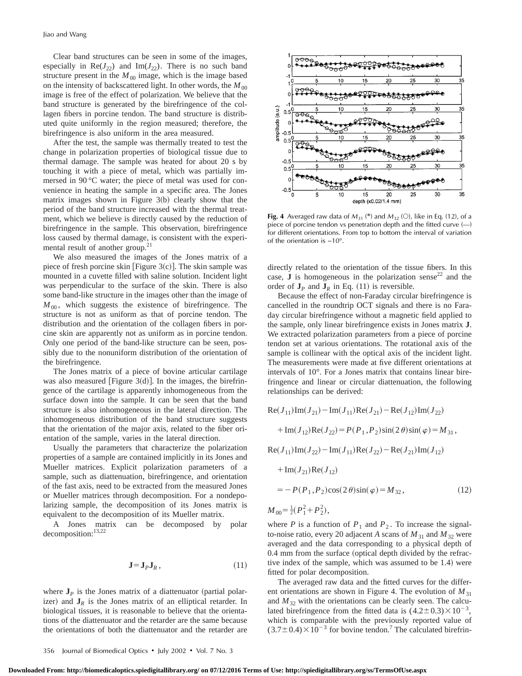Clear band structures can be seen in some of the images, especially in  $\text{Re}(J_{22})$  and  $\text{Im}(J_{22})$ . There is no such band structure present in the  $M_{00}$  image, which is the image based on the intensity of backscattered light. In other words, the  $M_{00}$ image is free of the effect of polarization. We believe that the band structure is generated by the birefringence of the collagen fibers in porcine tendon. The band structure is distributed quite uniformly in the region measured; therefore, the birefringence is also uniform in the area measured.

After the test, the sample was thermally treated to test the change in polarization properties of biological tissue due to thermal damage. The sample was heated for about 20 s by touching it with a piece of metal, which was partially immersed in 90 °C water; the piece of metal was used for convenience in heating the sample in a specific area. The Jones matrix images shown in Figure  $3(b)$  clearly show that the period of the band structure increased with the thermal treatment, which we believe is directly caused by the reduction of birefringence in the sample. This observation, birefringence loss caused by thermal damage, is consistent with the experimental result of another group.<sup>21</sup>

We also measured the images of the Jones matrix of a piece of fresh porcine skin [Figure  $3(c)$ ]. The skin sample was mounted in a cuvette filled with saline solution. Incident light was perpendicular to the surface of the skin. There is also some band-like structure in the images other than the image of  $M_{00}$ , which suggests the existence of birefringence. The structure is not as uniform as that of porcine tendon. The distribution and the orientation of the collagen fibers in porcine skin are apparently not as uniform as in porcine tendon. Only one period of the band-like structure can be seen, possibly due to the nonuniform distribution of the orientation of the birefringence.

The Jones matrix of a piece of bovine articular cartilage was also measured [Figure  $3(d)$ ]. In the images, the birefringence of the cartilage is apparently inhomogeneous from the surface down into the sample. It can be seen that the band structure is also inhomogeneous in the lateral direction. The inhomogeneous distribution of the band structure suggests that the orientation of the major axis, related to the fiber orientation of the sample, varies in the lateral direction.

Usually the parameters that characterize the polarization properties of a sample are contained implicitly in its Jones and Mueller matrices. Explicit polarization parameters of a sample, such as diattenuation, birefringence, and orientation of the fast axis, need to be extracted from the measured Jones or Mueller matrices through decomposition. For a nondepolarizing sample, the decomposition of its Jones matrix is equivalent to the decomposition of its Mueller matrix.

A Jones matrix can be decomposed by polar decomposition:<sup>13,22</sup>

$$
\mathbf{J} = \mathbf{J}_P \mathbf{J}_R, \tag{11}
$$

where  $J_p$  is the Jones matrix of a diattenuator (partial polarizer) and  $J_R$  is the Jones matrix of an elliptical retarder. In biological tissues, it is reasonable to believe that the orientations of the diattenuator and the retarder are the same because the orientations of both the diattenuator and the retarder are



**Fig. 4** Averaged raw data of  $M_{31}$  (\*) and  $M_{32}$  (O), like in Eq. (12), of a piece of porcine tendon vs penetration depth and the fitted curve (—) for different orientations. From top to bottom the interval of variation of the orientation is −10°.

directly related to the orientation of the tissue fibers. In this case,  **is homogeneous in the polarization sense<sup>22</sup> and the** order of  $J_p$  and  $J_R$  in Eq. (11) is reversible.

Because the effect of non-Faraday circular birefringence is cancelled in the roundtrip OCT signals and there is no Faraday circular birefringence without a magnetic field applied to the sample, only linear birefringence exists in Jones matrix **J**. We extracted polarization parameters from a piece of porcine tendon set at various orientations. The rotational axis of the sample is collinear with the optical axis of the incident light. The measurements were made at five different orientations at intervals of 10°. For a Jones matrix that contains linear birefringence and linear or circular diattenuation, the following relationships can be derived:

$$
Re(J_{11})Im(J_{21}) - Im(J_{11})Re(J_{21}) - Re(J_{12})Im(J_{22})
$$
  
+
$$
Im(J_{12})Re(J_{22}) = P(P_1, P_2)sin(2 \theta)sin(\varphi) = M_{31},
$$
  

$$
Re(J_{11})Im(J_{22}) - Im(J_{11})Re(J_{22}) - Re(J_{21})Im(J_{12})
$$
  
+
$$
Im(J_{21})Re(J_{12})
$$
  
= 
$$
- P(P_1, P_2)cos(2 \theta)sin(\varphi) = M_{32},
$$
 (12)  

$$
M_{00} = \frac{1}{2}(P_1^2 + P_2^2),
$$

where *P* is a function of  $P_1$  and  $P_2$ . To increase the signalto-noise ratio, every 20 adjacent *A* scans of  $M_{31}$  and  $M_{32}$  were averaged and the data corresponding to a physical depth of  $0.4$  mm from the surface (optical depth divided by the refractive index of the sample, which was assumed to be  $1.4$ ) were fitted for polar decomposition.

The averaged raw data and the fitted curves for the different orientations are shown in Figure 4. The evolution of  $M_{31}$ and  $M_{32}$  with the orientations can be clearly seen. The calculated birefringence from the fitted data is  $(4.2\pm0.3)\times10^{-3}$ , which is comparable with the previously reported value of  $(3.7\pm0.4)\times10^{-3}$  for bovine tendon.<sup>7</sup> The calculated birefrin-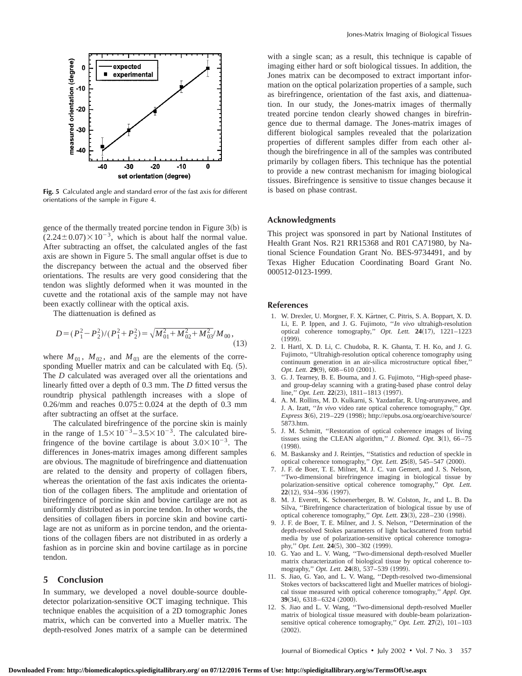

**Fig. 5** Calculated angle and standard error of the fast axis for different orientations of the sample in Figure 4.

gence of the thermally treated porcine tendon in Figure  $3(b)$  is  $(2.24 \pm 0.07) \times 10^{-3}$ , which is about half the normal value. After subtracting an offset, the calculated angles of the fast axis are shown in Figure 5. The small angular offset is due to the discrepancy between the actual and the observed fiber orientations. The results are very good considering that the tendon was slightly deformed when it was mounted in the cuvette and the rotational axis of the sample may not have been exactly collinear with the optical axis.

The diattenuation is defined as

$$
D = (P_1^2 - P_2^2)/(P_1^2 + P_2^2) = \sqrt{M_{01}^2 + M_{02}^2 + M_{03}^2}/M_{00},
$$
\n(13)

where  $M_{01}$ ,  $M_{02}$ , and  $M_{03}$  are the elements of the corresponding Mueller matrix and can be calculated with Eq.  $(5)$ . The *D* calculated was averaged over all the orientations and linearly fitted over a depth of 0.3 mm. The *D* fitted versus the roundtrip physical pathlength increases with a slope of 0.26/mm and reaches  $0.075 \pm 0.024$  at the depth of 0.3 mm after subtracting an offset at the surface.

The calculated birefringence of the porcine skin is mainly in the range of  $1.5 \times 10^{-3}$  –  $3.5 \times 10^{-3}$ . The calculated birefringence of the bovine cartilage is about  $3.0\times10^{-3}$ . The differences in Jones-matrix images among different samples are obvious. The magnitude of birefringence and diattenuation are related to the density and property of collagen fibers, whereas the orientation of the fast axis indicates the orientation of the collagen fibers. The amplitude and orientation of birefringence of porcine skin and bovine cartilage are not as uniformly distributed as in porcine tendon. In other words, the densities of collagen fibers in porcine skin and bovine cartilage are not as uniform as in porcine tendon, and the orientations of the collagen fibers are not distributed in as orderly a fashion as in porcine skin and bovine cartilage as in porcine tendon.

## **5 Conclusion**

In summary, we developed a novel double-source doubledetector polarization-sensitive OCT imaging technique. This technique enables the acquisition of a 2D tomographic Jones matrix, which can be converted into a Mueller matrix. The depth-resolved Jones matrix of a sample can be determined

with a single scan; as a result, this technique is capable of imaging either hard or soft biological tissues. In addition, the Jones matrix can be decomposed to extract important information on the optical polarization properties of a sample, such as birefringence, orientation of the fast axis, and diattenuation. In our study, the Jones-matrix images of thermally treated porcine tendon clearly showed changes in birefringence due to thermal damage. The Jones-matrix images of different biological samples revealed that the polarization properties of different samples differ from each other although the birefringence in all of the samples was contributed primarily by collagen fibers. This technique has the potential to provide a new contrast mechanism for imaging biological tissues. Birefringence is sensitive to tissue changes because it is based on phase contrast.

### **Acknowledgments**

This project was sponsored in part by National Institutes of Health Grant Nos. R21 RR15368 and R01 CA71980, by National Science Foundation Grant No. BES-9734491, and by Texas Higher Education Coordinating Board Grant No. 000512-0123-1999.

#### **References**

- 1. W. Drexler, U. Morgner, F. X. Kärtner, C. Pitris, S. A. Boppart, X. D. Li, E. P. Ippen, and J. G. Fujimoto, ''*In vivo* ultrahigh-resolution optical coherence tomography," *Opt. Lett.* 24(17), 1221-1223  $(1999)$
- 2. I. Hartl, X. D. Li, C. Chudoba, R. K. Ghanta, T. H. Ko, and J. G. Fujimoto, ''Ultrahigh-resolution optical coherence tomography using continuum generation in an air-silica microstructure optical fiber,'' *Opt. Lett.* **29**(9), 608–610 (2001).
- 3. G. J. Tearney, B. E. Bouma, and J. G. Fujimoto, ''High-speed phaseand group-delay scanning with a grating-based phase control delay line," *Opt. Lett.* 22(23), 1811–1813 (1997).
- 4. A. M. Rollins, M. D. Kulkarni, S. Yazdanfar, R. Ung-arunyawee, and J. A. Izatt, ''*In vivo* video rate optical coherence tomography,'' *Opt. Express* 3(6), 219–229 (1998); http://epubs.osa.org/oearchive/source/ 5873.htm.
- 5. J. M. Schmitt, ''Restoration of optical coherence images of living tissues using the CLEAN algorithm,"  $J.$  Biomed. Opt.  $3(1)$ , 66–75  $(1998).$
- 6. M. Baskansky and J. Reintjes, ''Statistics and reduction of speckle in optical coherence tomography," *Opt. Lett.* **25** $(8)$ , 545–547  $(2000)$ .
- 7. J. F. de Boer, T. E. Milner, M. J. C. van Gemert, and J. S. Nelson, ''Two-dimensional birefringence imaging in biological tissue by polarization-sensitive optical coherence tomography,'' *Opt. Lett.* **22**(12), 934–936 (1997).
- 8. M. J. Everett, K. Schoenerberger, B. W. Colston, Jr., and L. B. Da Silva, ''Birefringence characterization of biological tissue by use of optical coherence tomography," *Opt. Lett.* **23**(3), 228-230 (1998).
- 9. J. F. de Boer, T. E. Milner, and J. S. Nelson, ''Determination of the depth-resolved Stokes parameters of light backscattered from turbid media by use of polarization-sensitive optical coherence tomography," Opt. Lett. 24(5), 300-302 (1999).
- 10. G. Yao and L. V. Wang, ''Two-dimensional depth-resolved Mueller matrix characterization of biological tissue by optical coherence tomography," *Opt. Lett.* **24**(8), 537-539 (1999).
- 11. S. Jiao, G. Yao, and L. V. Wang, ''Depth-resolved two-dimensional Stokes vectors of backscattered light and Mueller matrices of biological tissue measured with optical coherence tomography,'' *Appl. Opt.* **39** $(34)$ , 6318–6324  $(2000)$ .
- 12. S. Jiao and L. V. Wang, ''Two-dimensional depth-resolved Mueller matrix of biological tissue measured with double-beam polarizationsensitive optical coherence tomography," *Opt. Lett.*  $27(2)$ ,  $101-103$  $(2002).$

Journal of Biomedical Optics  $\cdot$  July 2002  $\cdot$  Vol. 7 No. 3 357